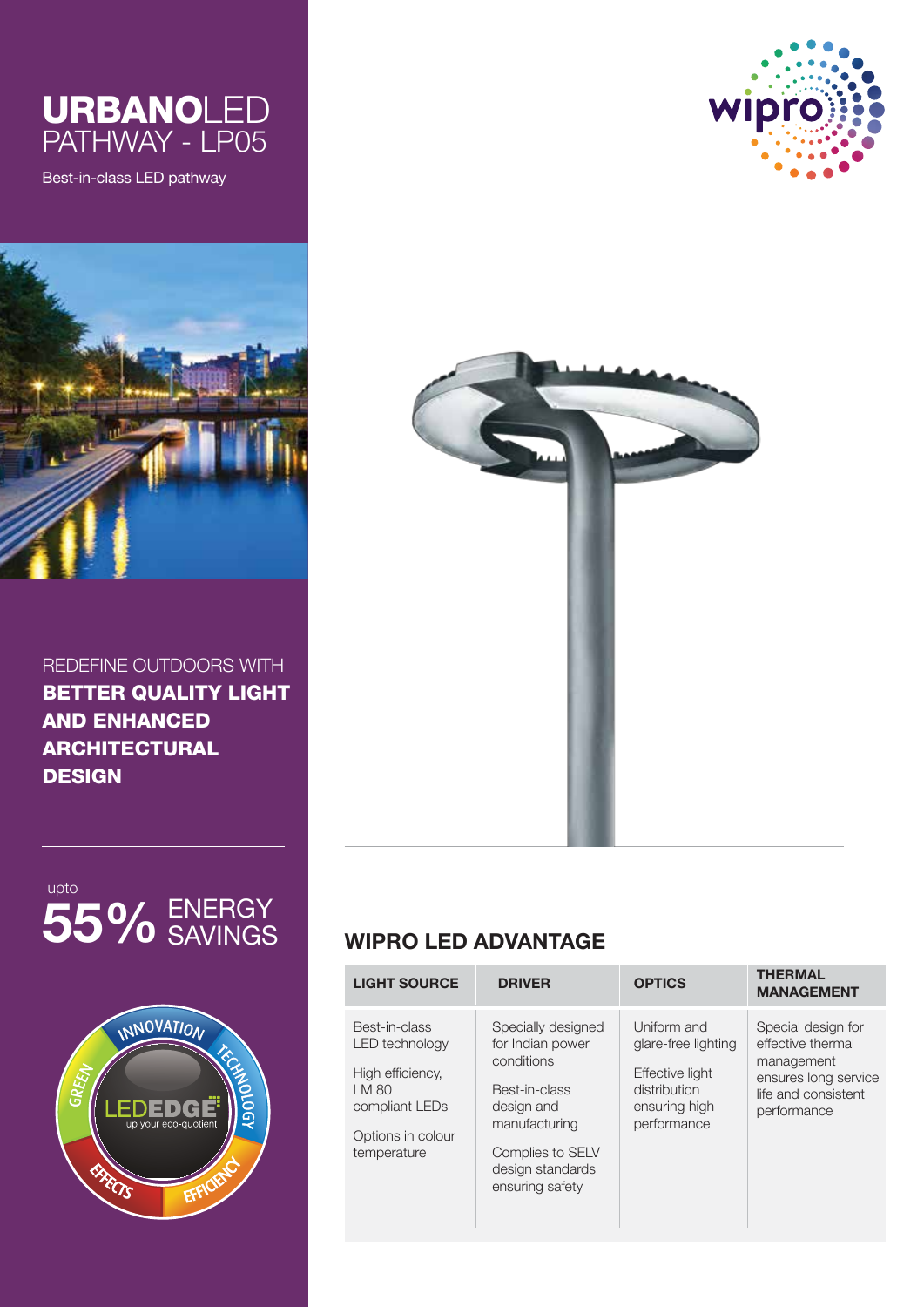

Best-in-class LED pathway



REDEFINE OUTDOORS WITH BETTER QUALITY LIGHT AND ENHANCED ARCHITECTURAL **DESIGN** 









# **WIPRO LED ADVANTAGE**

| <b>LIGHT SOURCE</b>                                                                                                       | <b>DRIVER</b>                                                                                                                                                   | <b>OPTICS</b>                                                                                         | <b>THERMAL</b><br><b>MANAGEMENT</b>                                                                                 |
|---------------------------------------------------------------------------------------------------------------------------|-----------------------------------------------------------------------------------------------------------------------------------------------------------------|-------------------------------------------------------------------------------------------------------|---------------------------------------------------------------------------------------------------------------------|
| Best-in-class<br><b>LED</b> technology<br>High efficiency.<br>LM 80<br>compliant LEDs<br>Options in colour<br>temperature | Specially designed<br>for Indian power<br>conditions<br>Best-in-class<br>design and<br>manufacturing<br>Complies to SELV<br>design standards<br>ensuring safety | Uniform and<br>glare-free lighting<br>Effective light<br>distribution<br>ensuring high<br>performance | Special design for<br>effective thermal<br>management<br>ensures long service<br>life and consistent<br>performance |